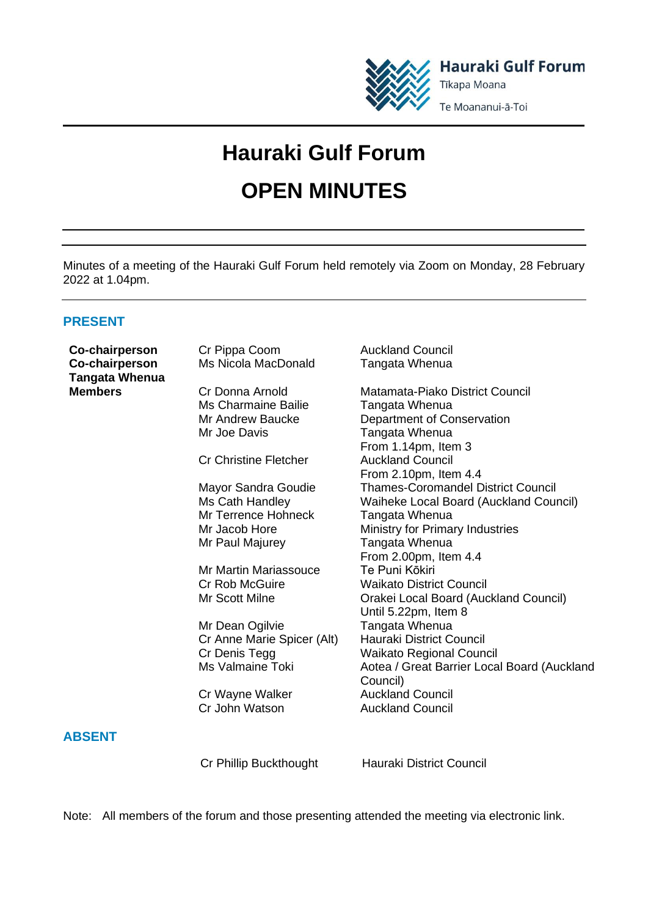

**Hauraki Gulf Forum Tīkapa Moana** 

Te Moananui-ā-Toi

# **Hauraki Gulf Forum OPEN MINUTES**

Minutes of a meeting of the Hauraki Gulf Forum held remotely via Zoom on Monday, 28 February 2022 at 1.04pm.

# **PRESENT**

**Co-chairperson Tangata Whenua**

**Co-chairperson** Cr Pippa Coom Auckland Council Ms Nicola MacDonald Tangata Whenua

> Ms Charmaine Bailie **Tangata Whenua** Mr Joe Davis **Tangata Whenua**

> Cr Christine Fletcher Auckland Council

Mr Terrence Hohneck Tangata Whenua Mr Paul Majurey Tangata Whenua

Mr Martin Mariassouce Te Puni Kōkiri

Mr Dean Ogilvie **Tangata Whenua** Cr Anne Marie Spicer (Alt) Hauraki District Council

**Members** Cr Donna Arnold Matamata-Piako District Council Mr Andrew Baucke Department of Conservation From 1.14pm, Item 3 From 2.10pm, Item 4.4 Mayor Sandra Goudie Thames-Coromandel District Council Ms Cath Handley Waiheke Local Board (Auckland Council) Mr Jacob Hore Ministry for Primary Industries From 2.00pm, Item 4.4 Cr Rob McGuire Waikato District Council Mr Scott Milne Orakei Local Board (Auckland Council) Until 5.22pm, Item 8 Cr Denis Tegg Waikato Regional Council Ms Valmaine Toki Aotea / Great Barrier Local Board (Auckland Council) Cr Wayne Walker **Auckland Council** Cr John Watson **Auckland Council** 

# **ABSENT**

Cr Phillip Buckthought Hauraki District Council

Note: All members of the forum and those presenting attended the meeting via electronic link.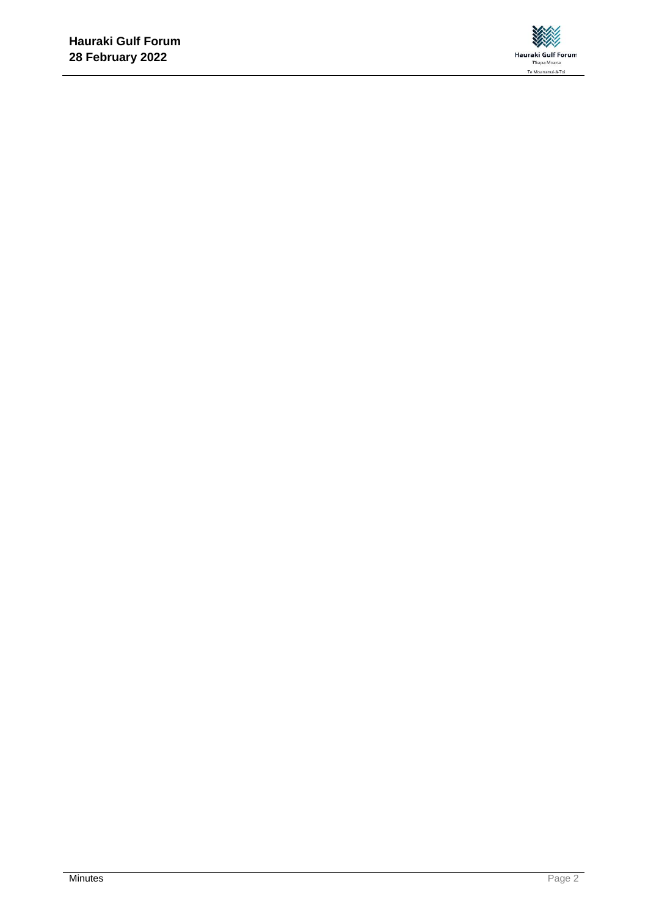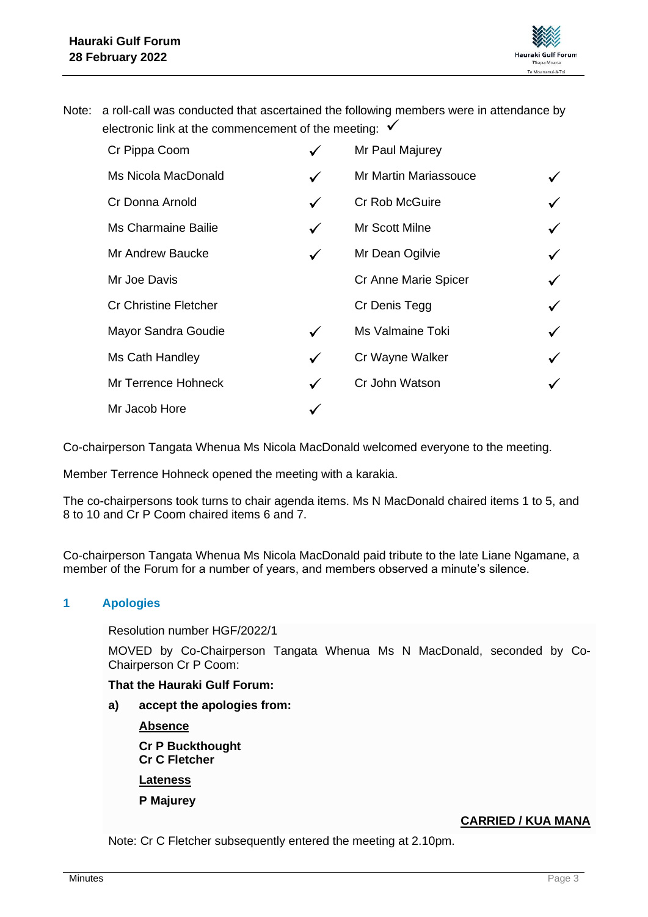Note: a roll-call was conducted that ascertained the following members were in attendance by electronic link at the commencement of the meeting:  $\checkmark$ 

| Cr Pippa Coom                |              | Mr Paul Majurey       |   |
|------------------------------|--------------|-----------------------|---|
| Ms Nicola MacDonald          | ✓            | Mr Martin Mariassouce |   |
| Cr Donna Arnold              | ✓            | <b>Cr Rob McGuire</b> | ✓ |
| <b>Ms Charmaine Bailie</b>   | ✓            | Mr Scott Milne        | ✓ |
| Mr Andrew Baucke             | $\checkmark$ | Mr Dean Ogilvie       | ✓ |
| Mr Joe Davis                 |              | Cr Anne Marie Spicer  |   |
| <b>Cr Christine Fletcher</b> |              | Cr Denis Tegg         | ✓ |
| Mayor Sandra Goudie          | ✓            | Ms Valmaine Toki      | ✓ |
| Ms Cath Handley              | ✓            | Cr Wayne Walker       | ✓ |
| Mr Terrence Hohneck          | ✓            | Cr John Watson        |   |
| Mr Jacob Hore                |              |                       |   |

Co-chairperson Tangata Whenua Ms Nicola MacDonald welcomed everyone to the meeting.

Member Terrence Hohneck opened the meeting with a karakia.

The co-chairpersons took turns to chair agenda items. Ms N MacDonald chaired items 1 to 5, and 8 to 10 and Cr P Coom chaired items 6 and 7.

Co-chairperson Tangata Whenua Ms Nicola MacDonald paid tribute to the late Liane Ngamane, a member of the Forum for a number of years, and members observed a minute's silence.

## **1 Apologies**

Resolution number HGF/2022/1

MOVED by Co-Chairperson Tangata Whenua Ms N MacDonald, seconded by Co-Chairperson Cr P Coom:

## **That the Hauraki Gulf Forum:**

**a) accept the apologies from:**

**Absence**

**Cr P Buckthought Cr C Fletcher Lateness**

**P Majurey**

# **CARRIED / KUA MANA**

Note: Cr C Fletcher subsequently entered the meeting at 2.10pm.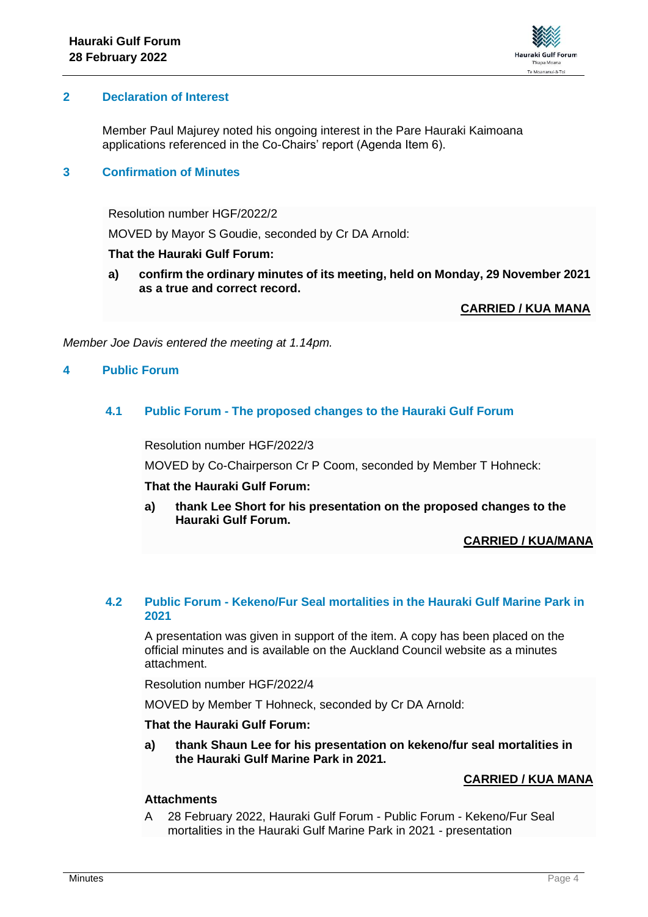

## **2 Declaration of Interest**

Member Paul Majurey noted his ongoing interest in the Pare Hauraki Kaimoana applications referenced in the Co-Chairs' report (Agenda Item 6).

# **3 Confirmation of Minutes**

Resolution number HGF/2022/2

MOVED by Mayor S Goudie, seconded by Cr DA Arnold:

## **That the Hauraki Gulf Forum:**

**a) confirm the ordinary minutes of its meeting, held on Monday, 29 November 2021 as a true and correct record.**

# **CARRIED / KUA MANA**

*Member Joe Davis entered the meeting at 1.14pm.*

## **4 Public Forum**

## **4.1 Public Forum - The proposed changes to the Hauraki Gulf Forum**

Resolution number HGF/2022/3

MOVED by Co-Chairperson Cr P Coom, seconded by Member T Hohneck:

#### **That the Hauraki Gulf Forum:**

**a) thank Lee Short for his presentation on the proposed changes to the Hauraki Gulf Forum.**

#### **CARRIED / KUA/MANA**

## **4.2 Public Forum - Kekeno/Fur Seal mortalities in the Hauraki Gulf Marine Park in 2021**

A presentation was given in support of the item. A copy has been placed on the official minutes and is available on the Auckland Council website as a minutes attachment.

Resolution number HGF/2022/4

MOVED by Member T Hohneck, seconded by Cr DA Arnold:

#### **That the Hauraki Gulf Forum:**

**a) thank Shaun Lee for his presentation on kekeno/fur seal mortalities in the Hauraki Gulf Marine Park in 2021.**

## **CARRIED / KUA MANA**

## **Attachments**

A 28 February 2022, Hauraki Gulf Forum - Public Forum - Kekeno/Fur Seal mortalities in the Hauraki Gulf Marine Park in 2021 - presentation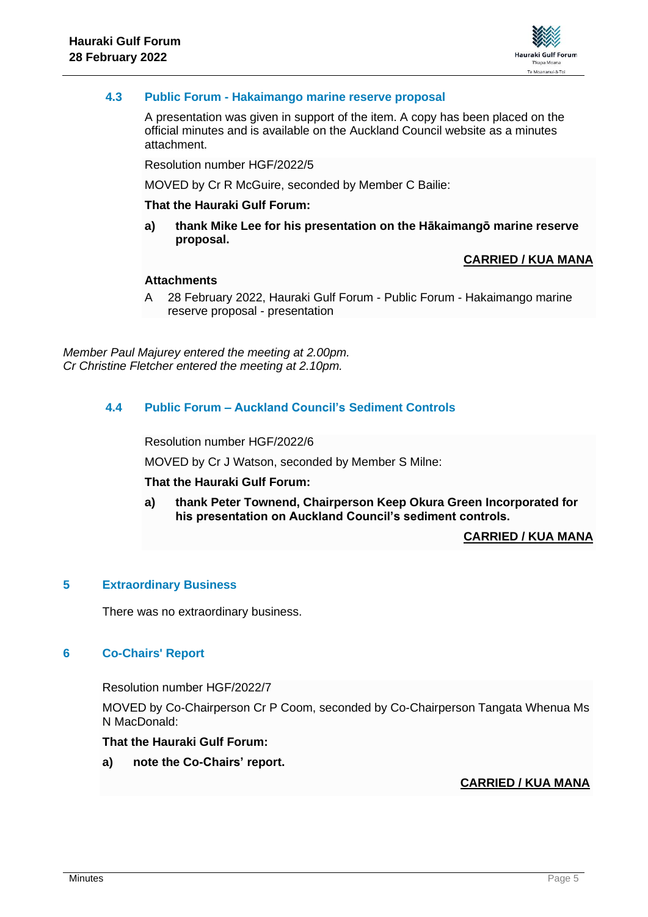

## **4.3 Public Forum - Hakaimango marine reserve proposal**

A presentation was given in support of the item. A copy has been placed on the official minutes and is available on the Auckland Council website as a minutes attachment.

Resolution number HGF/2022/5

MOVED by Cr R McGuire, seconded by Member C Bailie:

#### **That the Hauraki Gulf Forum:**

**a) thank Mike Lee for his presentation on the Hākaimangō marine reserve proposal.**

## **CARRIED / KUA MANA**

## **Attachments**

A 28 February 2022, Hauraki Gulf Forum - Public Forum - Hakaimango marine reserve proposal - presentation

*Member Paul Majurey entered the meeting at 2.00pm. Cr Christine Fletcher entered the meeting at 2.10pm.*

#### **4.4 Public Forum – Auckland Council's Sediment Controls**

Resolution number HGF/2022/6

MOVED by Cr J Watson, seconded by Member S Milne:

#### **That the Hauraki Gulf Forum:**

**a) thank Peter Townend, Chairperson Keep Okura Green Incorporated for his presentation on Auckland Council's sediment controls.**

#### **CARRIED / KUA MANA**

#### **5 Extraordinary Business**

There was no extraordinary business.

#### **6 Co-Chairs' Report**

Resolution number HGF/2022/7

MOVED by Co-Chairperson Cr P Coom, seconded by Co-Chairperson Tangata Whenua Ms N MacDonald:

## **That the Hauraki Gulf Forum:**

**a) note the Co-Chairs' report.**

#### **CARRIED / KUA MANA**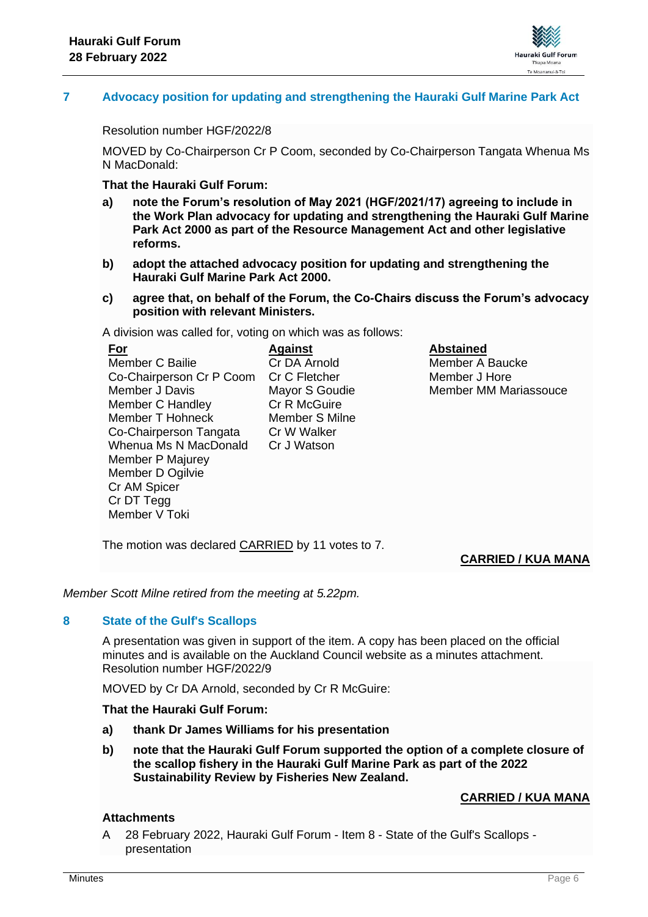

# **7 Advocacy position for updating and strengthening the Hauraki Gulf Marine Park Act**

Resolution number HGF/2022/8

MOVED by Co-Chairperson Cr P Coom, seconded by Co-Chairperson Tangata Whenua Ms N MacDonald:

## **That the Hauraki Gulf Forum:**

- **a) note the Forum's resolution of May 2021 (HGF/2021/17) agreeing to include in the Work Plan advocacy for updating and strengthening the Hauraki Gulf Marine Park Act 2000 as part of the Resource Management Act and other legislative reforms.**
- **b) adopt the attached advocacy position for updating and strengthening the Hauraki Gulf Marine Park Act 2000.**
- **c) agree that, on behalf of the Forum, the Co-Chairs discuss the Forum's advocacy position with relevant Ministers.**

A division was called for, voting on which was as follows:

| For                      |
|--------------------------|
| Member C Bailie          |
| Co-Chairperson Cr P Coom |
| Member J Davis           |
| <b>Member C Handley</b>  |
| Member T Hohneck         |
| Co-Chairperson Tangata   |
| Whenua Ms N MacDonald    |
| Member P Majurey         |
| Member D Ogilvie         |
| Cr AM Spicer             |
| Cr DT Tegg               |
| Member V Toki            |

**Against** Cr DA Arnold Cr C Fletcher Mayor S Goudie Cr R McGuire Member S Milne Cr W Walker Cr J Watson

#### **Abstained**

Member A Baucke Member J Hore Member MM Mariassouce

The motion was declared CARRIED by 11 votes to 7.

# **CARRIED / KUA MANA**

*Member Scott Milne retired from the meeting at 5.22pm.*

## **8 State of the Gulf's Scallops**

A presentation was given in support of the item. A copy has been placed on the official minutes and is available on the Auckland Council website as a minutes attachment. Resolution number HGF/2022/9

MOVED by Cr DA Arnold, seconded by Cr R McGuire:

#### **That the Hauraki Gulf Forum:**

- **a) thank Dr James Williams for his presentation**
- **b) note that the Hauraki Gulf Forum supported the option of a complete closure of the scallop fishery in the Hauraki Gulf Marine Park as part of the 2022 Sustainability Review by Fisheries New Zealand.**

## **CARRIED / KUA MANA**

# **Attachments**

A 28 February 2022, Hauraki Gulf Forum - Item 8 - State of the Gulf's Scallops presentation